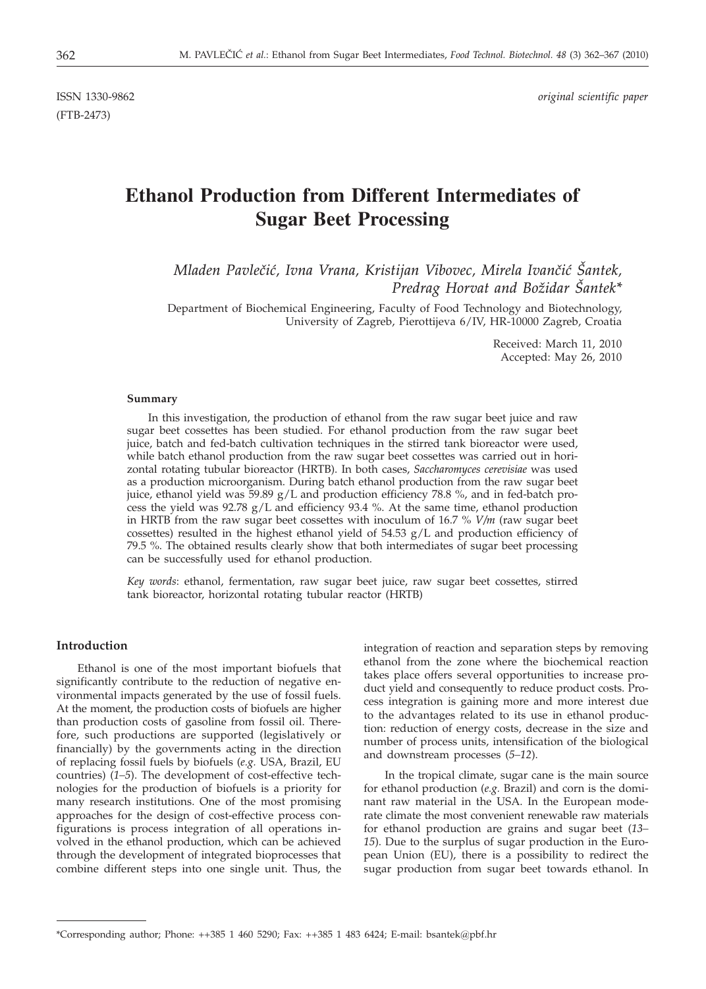(FTB-2473)

ISSN 1330-9862 *original scientific paper*

# **Ethanol Production from Different Intermediates of Sugar Beet Processing**

*Mladen Pavle~i}, Ivna Vrana, Kristijan Vibovec, Mirela Ivan~i} [antek, Predrag Horvat and Božidar Šantek\** 

Department of Biochemical Engineering, Faculty of Food Technology and Biotechnology, University of Zagreb, Pierottijeva 6/IV, HR-10000 Zagreb, Croatia

> Received: March 11, 2010 Accepted: May 26, 2010

#### **Summary**

In this investigation, the production of ethanol from the raw sugar beet juice and raw sugar beet cossettes has been studied. For ethanol production from the raw sugar beet juice, batch and fed-batch cultivation techniques in the stirred tank bioreactor were used, while batch ethanol production from the raw sugar beet cossettes was carried out in horizontal rotating tubular bioreactor (HRTB). In both cases, *Saccharomyces cerevisiae* was used as a production microorganism. During batch ethanol production from the raw sugar beet juice, ethanol yield was 59.89 g/L and production efficiency 78.8 %, and in fed-batch process the yield was  $92.78 \text{ g/L}$  and efficiency  $93.4 \text{ %}$ . At the same time, ethanol production in HRTB from the raw sugar beet cossettes with inoculum of 16.7 % *V/m* (raw sugar beet cossettes) resulted in the highest ethanol yield of  $54.53$   $g/L$  and production efficiency of 79.5 %. The obtained results clearly show that both intermediates of sugar beet processing can be successfully used for ethanol production.

*Key words*: ethanol, fermentation, raw sugar beet juice, raw sugar beet cossettes, stirred tank bioreactor, horizontal rotating tubular reactor (HRTB)

### **Introduction**

Ethanol is one of the most important biofuels that significantly contribute to the reduction of negative environmental impacts generated by the use of fossil fuels. At the moment, the production costs of biofuels are higher than production costs of gasoline from fossil oil. Therefore, such productions are supported (legislatively or financially) by the governments acting in the direction of replacing fossil fuels by biofuels (*e.g.* USA, Brazil, EU countries) (*1–5*). The development of cost-effective technologies for the production of biofuels is a priority for many research institutions. One of the most promising approaches for the design of cost-effective process configurations is process integration of all operations involved in the ethanol production, which can be achieved through the development of integrated bioprocesses that combine different steps into one single unit. Thus, the integration of reaction and separation steps by removing ethanol from the zone where the biochemical reaction takes place offers several opportunities to increase product yield and consequently to reduce product costs. Process integration is gaining more and more interest due to the advantages related to its use in ethanol production: reduction of energy costs, decrease in the size and number of process units, intensification of the biological and downstream processes (*5–12*).

In the tropical climate, sugar cane is the main source for ethanol production (*e.g.* Brazil) and corn is the dominant raw material in the USA. In the European moderate climate the most convenient renewable raw materials for ethanol production are grains and sugar beet (*13– 15*). Due to the surplus of sugar production in the European Union (EU), there is a possibility to redirect the sugar production from sugar beet towards ethanol. In

<sup>\*</sup>Corresponding author; Phone: ++385 1 460 5290; Fax: ++385 1 483 6424; E-mail: bsantek@pbf.hr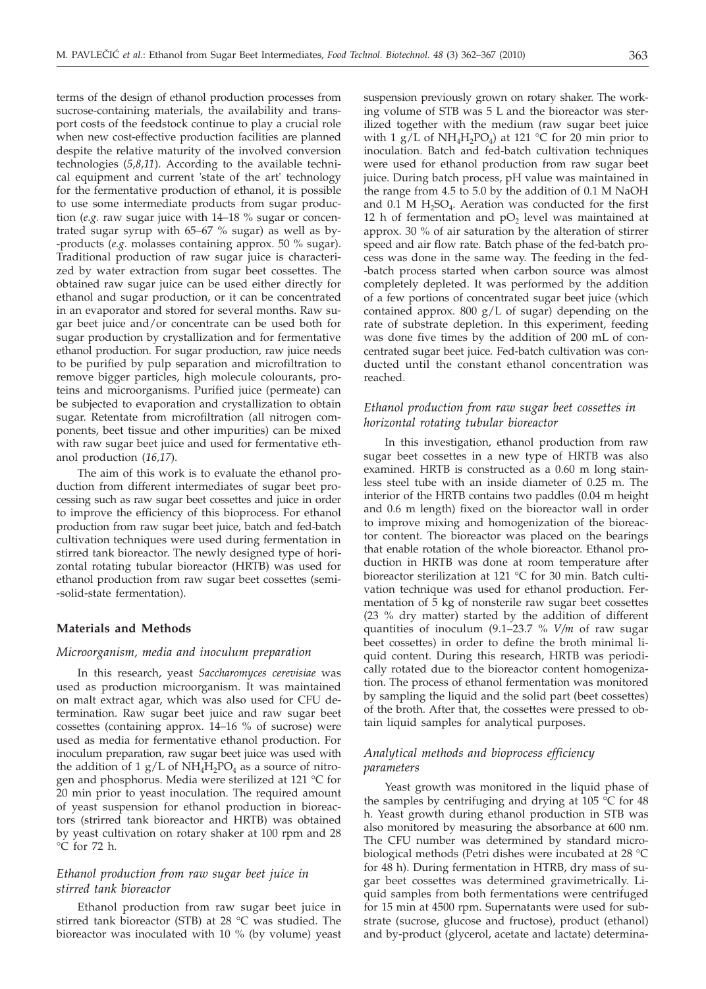terms of the design of ethanol production processes from sucrose-containing materials, the availability and transport costs of the feedstock continue to play a crucial role when new cost-effective production facilities are planned despite the relative maturity of the involved conversion technologies (*5,8,11*). According to the available technical equipment and current 'state of the art' technology for the fermentative production of ethanol, it is possible to use some intermediate products from sugar production (*e.g.* raw sugar juice with 14–18 % sugar or concentrated sugar syrup with 65–67 % sugar) as well as by- -products (*e.g.* molasses containing approx. 50 % sugar). Traditional production of raw sugar juice is characterized by water extraction from sugar beet cossettes. The obtained raw sugar juice can be used either directly for ethanol and sugar production, or it can be concentrated in an evaporator and stored for several months. Raw sugar beet juice and/or concentrate can be used both for sugar production by crystallization and for fermentative ethanol production. For sugar production, raw juice needs to be purified by pulp separation and microfiltration to remove bigger particles, high molecule colourants, proteins and microorganisms. Purified juice (permeate) can be subjected to evaporation and crystallization to obtain sugar. Retentate from microfiltration (all nitrogen components, beet tissue and other impurities) can be mixed with raw sugar beet juice and used for fermentative ethanol production (*16,17*).

The aim of this work is to evaluate the ethanol production from different intermediates of sugar beet processing such as raw sugar beet cossettes and juice in order to improve the efficiency of this bioprocess. For ethanol production from raw sugar beet juice, batch and fed-batch cultivation techniques were used during fermentation in stirred tank bioreactor. The newly designed type of horizontal rotating tubular bioreactor (HRTB) was used for ethanol production from raw sugar beet cossettes (semi- -solid-state fermentation).

#### **Materials and Methods**

## *Microorganism, media and inoculum preparation*

In this research, yeast *Saccharomyces cerevisiae* was used as production microorganism. It was maintained on malt extract agar, which was also used for CFU determination. Raw sugar beet juice and raw sugar beet cossettes (containing approx. 14–16 % of sucrose) were used as media for fermentative ethanol production. For inoculum preparation, raw sugar beet juice was used with the addition of 1 g/L of  $NH_4H_2PO_4$  as a source of nitrogen and phosphorus. Media were sterilized at 121 °C for 20 min prior to yeast inoculation. The required amount of yeast suspension for ethanol production in bioreactors (strirred tank bioreactor and HRTB) was obtained by yeast cultivation on rotary shaker at 100 rpm and 28 °C for 72 h.

## *Ethanol production from raw sugar beet juice in stirred tank bioreactor*

Ethanol production from raw sugar beet juice in stirred tank bioreactor (STB) at 28 °C was studied. The bioreactor was inoculated with 10 % (by volume) yeast

suspension previously grown on rotary shaker. The working volume of STB was 5 L and the bioreactor was sterilized together with the medium (raw sugar beet juice with 1  $g/L$  of NH<sub>4</sub>H<sub>2</sub>PO<sub>4</sub>) at 121 °C for 20 min prior to inoculation. Batch and fed-batch cultivation techniques were used for ethanol production from raw sugar beet juice. During batch process, pH value was maintained in the range from 4.5 to 5.0 by the addition of 0.1 M NaOH and  $0.1$  M H<sub>2</sub>SO<sub>4</sub>. Aeration was conducted for the first 12 h of fermentation and  $pO<sub>2</sub>$  level was maintained at approx. 30 % of air saturation by the alteration of stirrer speed and air flow rate. Batch phase of the fed-batch process was done in the same way. The feeding in the fed- -batch process started when carbon source was almost completely depleted. It was performed by the addition of a few portions of concentrated sugar beet juice (which contained approx.  $800 \text{ g/L}$  of sugar) depending on the rate of substrate depletion. In this experiment, feeding was done five times by the addition of 200 mL of concentrated sugar beet juice. Fed-batch cultivation was conducted until the constant ethanol concentration was reached.

## *Ethanol production from raw sugar beet cossettes in horizontal rotating tubular bioreactor*

In this investigation, ethanol production from raw sugar beet cossettes in a new type of HRTB was also examined. HRTB is constructed as a 0.60 m long stainless steel tube with an inside diameter of 0.25 m. The interior of the HRTB contains two paddles (0.04 m height and 0.6 m length) fixed on the bioreactor wall in order to improve mixing and homogenization of the bioreactor content. The bioreactor was placed on the bearings that enable rotation of the whole bioreactor. Ethanol production in HRTB was done at room temperature after bioreactor sterilization at 121 °C for 30 min. Batch cultivation technique was used for ethanol production. Fermentation of 5 kg of nonsterile raw sugar beet cossettes (23 % dry matter) started by the addition of different quantities of inoculum (9.1–23.7 % *V/m* of raw sugar beet cossettes) in order to define the broth minimal liquid content. During this research, HRTB was periodically rotated due to the bioreactor content homogenization. The process of ethanol fermentation was monitored by sampling the liquid and the solid part (beet cossettes) of the broth. After that, the cossettes were pressed to obtain liquid samples for analytical purposes.

## *Analytical methods and bioprocess efficiency parameters*

Yeast growth was monitored in the liquid phase of the samples by centrifuging and drying at 105 °C for 48 h. Yeast growth during ethanol production in STB was also monitored by measuring the absorbance at 600 nm. The CFU number was determined by standard microbiological methods (Petri dishes were incubated at 28 °C for 48 h). During fermentation in HTRB, dry mass of sugar beet cossettes was determined gravimetrically. Liquid samples from both fermentations were centrifuged for 15 min at 4500 rpm. Supernatants were used for substrate (sucrose, glucose and fructose), product (ethanol) and by-product (glycerol, acetate and lactate) determina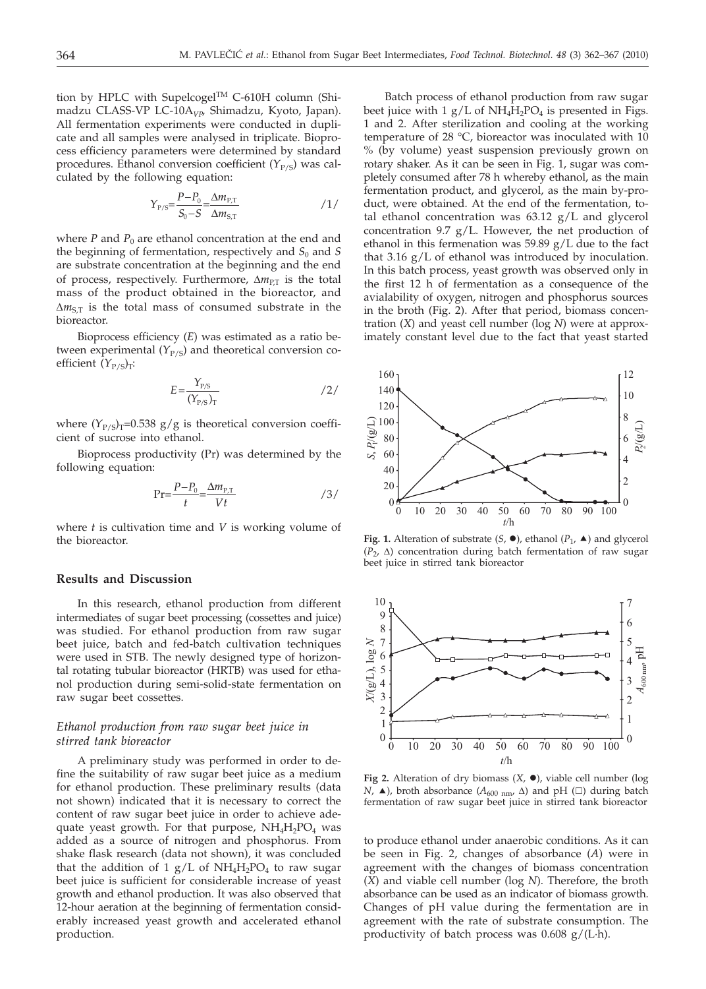tion by HPLC with Supelcogel™ C-610H column (Shimadzu CLASS-VP LC-10A*VP*, Shimadzu, Kyoto, Japan). All fermentation experiments were conducted in duplicate and all samples were analysed in triplicate. Bioprocess efficiency parameters were determined by standard procedures. Ethanol conversion coefficient  $(Y_{P/S})$  was calculated by the following equation:

$$
Y_{P/S} = \frac{P - P_0}{S_0 - S} = \frac{\Delta m_{P,T}}{\Delta m_{S,T}}
$$

where  $P$  and  $P_0$  are ethanol concentration at the end and the beginning of fermentation, respectively and  $S_0$  and  $S$ are substrate concentration at the beginning and the end of process, respectively. Furthermore,  $\Delta m_{\text{PT}}$  is the total mass of the product obtained in the bioreactor, and  $\Delta m_{S,T}$  is the total mass of consumed substrate in the bioreactor.

Bioprocess efficiency (*E*) was estimated as a ratio between experimental  $(Y_{P/S})$  and theoretical conversion coefficient  $(Y_{P/S})_T$ :

$$
E = \frac{Y_{P/S}}{(Y_{P/S})_T}
$$

where  $(Y_{P/S})_T$ =0.538 g/g is theoretical conversion coefficient of sucrose into ethanol.

Bioprocess productivity (Pr) was determined by the following equation:

$$
\Pr = \frac{P - P_0}{t} = \frac{\Delta m_{P,T}}{Vt} \tag{3/}
$$

where *t* is cultivation time and *V* is working volume of the bioreactor.

#### **Results and Discussion**

In this research, ethanol production from different intermediates of sugar beet processing (cossettes and juice) was studied. For ethanol production from raw sugar beet juice, batch and fed-batch cultivation techniques were used in STB. The newly designed type of horizontal rotating tubular bioreactor (HRTB) was used for ethanol production during semi-solid-state fermentation on raw sugar beet cossettes.

## *Ethanol production from raw sugar beet juice in stirred tank bioreactor*

A preliminary study was performed in order to define the suitability of raw sugar beet juice as a medium for ethanol production. These preliminary results (data not shown) indicated that it is necessary to correct the content of raw sugar beet juice in order to achieve adequate yeast growth. For that purpose,  $NH_4H_2PO_4$  was added as a source of nitrogen and phosphorus. From shake flask research (data not shown), it was concluded that the addition of 1 g/L of  $NH_4H_2PO_4$  to raw sugar beet juice is sufficient for considerable increase of yeast growth and ethanol production. It was also observed that 12-hour aeration at the beginning of fermentation considerably increased yeast growth and accelerated ethanol production.

Batch process of ethanol production from raw sugar beet juice with  $1 g/L$  of  $NH<sub>4</sub>H<sub>2</sub>PO<sub>4</sub>$  is presented in Figs. 1 and 2. After sterilization and cooling at the working temperature of 28 °C, bioreactor was inoculated with 10 % (by volume) yeast suspension previously grown on rotary shaker. As it can be seen in Fig. 1, sugar was completely consumed after 78 h whereby ethanol, as the main fermentation product, and glycerol, as the main by-product, were obtained. At the end of the fermentation, total ethanol concentration was 63.12 g/L and glycerol concentration 9.7 g/L. However, the net production of ethanol in this fermenation was 59.89 g/L due to the fact that 3.16 g/L of ethanol was introduced by inoculation. In this batch process, yeast growth was observed only in the first 12 h of fermentation as a consequence of the avialability of oxygen, nitrogen and phosphorus sources in the broth (Fig. 2). After that period, biomass concentration (*X*) and yeast cell number (log *N*) were at approximately constant level due to the fact that yeast started



**Fig. 1.** Alteration of substrate  $(S, \bullet)$ , ethanol  $(P_1, \bullet)$  and glycerol  $(P_2, \Delta)$  concentration during batch fermentation of raw sugar beet juice in stirred tank bioreactor



**Fig 2.** Alteration of dry biomass  $(X, \bullet)$ , viable cell number (log *N*,  $\blacktriangle$ ), broth absorbance ( $A_{600 \text{ nm}}$ ,  $\triangle$ ) and pH ( $\Box$ ) during batch fermentation of raw sugar beet juice in stirred tank bioreactor

to produce ethanol under anaerobic conditions. As it can be seen in Fig. 2, changes of absorbance (*A*) were in agreement with the changes of biomass concentration (*X*) and viable cell number (log *N*). Therefore, the broth absorbance can be used as an indicator of biomass growth. Changes of pH value during the fermentation are in agreement with the rate of substrate consumption. The productivity of batch process was 0.608 g/(L·h).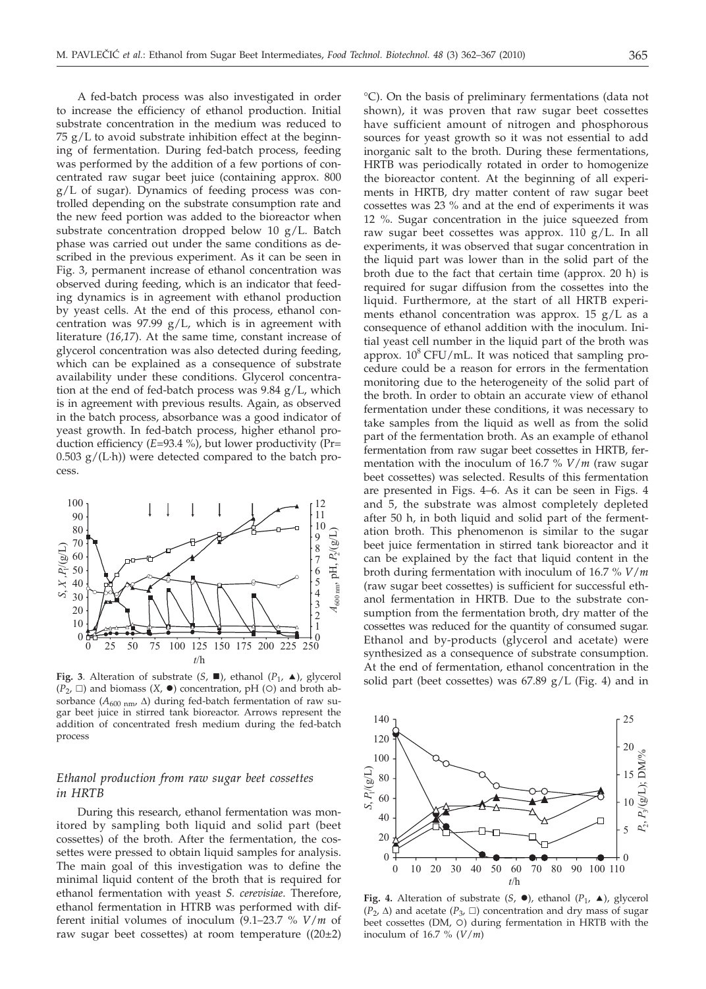A fed-batch process was also investigated in order to increase the efficiency of ethanol production. Initial substrate concentration in the medium was reduced to 75 g/L to avoid substrate inhibition effect at the beginning of fermentation. During fed-batch process, feeding was performed by the addition of a few portions of concentrated raw sugar beet juice (containing approx. 800 g/L of sugar). Dynamics of feeding process was controlled depending on the substrate consumption rate and the new feed portion was added to the bioreactor when substrate concentration dropped below 10 g/L. Batch phase was carried out under the same conditions as described in the previous experiment. As it can be seen in Fig. 3, permanent increase of ethanol concentration was observed during feeding, which is an indicator that feeding dynamics is in agreement with ethanol production by yeast cells. At the end of this process, ethanol concentration was 97.99 g/L, which is in agreement with literature (*16,17*). At the same time, constant increase of glycerol concentration was also detected during feeding, which can be explained as a consequence of substrate availability under these conditions. Glycerol concentration at the end of fed-batch process was 9.84 g/L, which is in agreement with previous results. Again, as observed in the batch process, absorbance was a good indicator of yeast growth. In fed-batch process, higher ethanol production efficiency (*E*=93.4 %), but lower productivity (Pr=  $0.503$  g/(L·h)) were detected compared to the batch process.



**Fig. 3**. Alteration of substrate  $(S, \blacksquare)$ , ethanol  $(P_1, \blacktriangle)$ , glycerol  $(P_2, \Box)$  and biomass  $(X, \bullet)$  concentration, pH (O) and broth absorbance ( $A_{600 \text{ nm}}$ ,  $\Delta$ ) during fed-batch fermentation of raw sugar beet juice in stirred tank bioreactor. Arrows represent the addition of concentrated fresh medium during the fed-batch process

# *Ethanol production from raw sugar beet cossettes in HRTB*

During this research, ethanol fermentation was monitored by sampling both liquid and solid part (beet cossettes) of the broth. After the fermentation, the cossettes were pressed to obtain liquid samples for analysis. The main goal of this investigation was to define the minimal liquid content of the broth that is required for ethanol fermentation with yeast *S. cerevisiae*. Therefore, ethanol fermentation in HTRB was performed with different initial volumes of inoculum (9.1–23.7 % *V*/*m* of raw sugar beet cossettes) at room temperature  $((20\pm2)$ 

°C). On the basis of preliminary fermentations (data not shown), it was proven that raw sugar beet cossettes have sufficient amount of nitrogen and phosphorous sources for yeast growth so it was not essential to add inorganic salt to the broth. During these fermentations, HRTB was periodically rotated in order to homogenize the bioreactor content. At the beginning of all experiments in HRTB, dry matter content of raw sugar beet cossettes was 23 % and at the end of experiments it was 12 %. Sugar concentration in the juice squeezed from raw sugar beet cossettes was approx. 110  $g/L$ . In all experiments, it was observed that sugar concentration in the liquid part was lower than in the solid part of the broth due to the fact that certain time (approx. 20 h) is required for sugar diffusion from the cossettes into the liquid. Furthermore, at the start of all HRTB experiments ethanol concentration was approx. 15 g/L as a consequence of ethanol addition with the inoculum. Initial yeast cell number in the liquid part of the broth was approx.  $10^8$  CFU/mL. It was noticed that sampling procedure could be a reason for errors in the fermentation monitoring due to the heterogeneity of the solid part of the broth. In order to obtain an accurate view of ethanol fermentation under these conditions, it was necessary to take samples from the liquid as well as from the solid part of the fermentation broth. As an example of ethanol fermentation from raw sugar beet cossettes in HRTB, fermentation with the inoculum of 16.7 % *V*/*m* (raw sugar beet cossettes) was selected. Results of this fermentation are presented in Figs. 4–6. As it can be seen in Figs. 4 and 5, the substrate was almost completely depleted after 50 h, in both liquid and solid part of the fermentation broth. This phenomenon is similar to the sugar beet juice fermentation in stirred tank bioreactor and it can be explained by the fact that liquid content in the broth during fermentation with inoculum of 16.7 % *V*/*m* (raw sugar beet cossettes) is sufficient for successful ethanol fermentation in HRTB. Due to the substrate consumption from the fermentation broth, dry matter of the cossettes was reduced for the quantity of consumed sugar. Ethanol and by-products (glycerol and acetate) were synthesized as a consequence of substrate consumption. At the end of fermentation, ethanol concentration in the solid part (beet cossettes) was 67.89 g/L (Fig. 4) and in



**Fig. 4.** Alteration of substrate  $(S, \bullet)$ , ethanol  $(P_1, \bullet)$ , glycerol  $(P_2, \Delta)$  and acetate  $(P_3, \Box)$  concentration and dry mass of sugar beet cossettes (DM, O) during fermentation in HRTB with the inoculum of 16.7 % (*V*/*m*)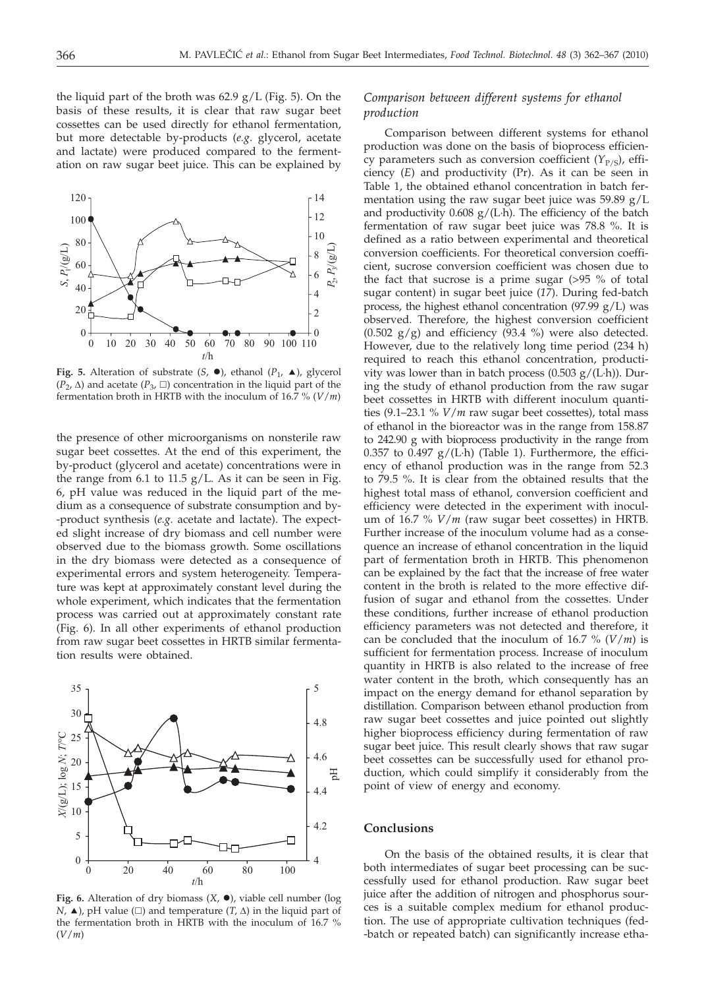the liquid part of the broth was  $62.9$  g/L (Fig. 5). On the basis of these results, it is clear that raw sugar beet cossettes can be used directly for ethanol fermentation, but more detectable by-products (*e.g*. glycerol, acetate and lactate) were produced compared to the fermentation on raw sugar beet juice. This can be explained by



**Fig. 5.** Alteration of substrate  $(S, \bullet)$ , ethanol  $(P_1, \bullet)$ , glycerol  $(P_2, \Delta)$  and acetate  $(P_3, \Box)$  concentration in the liquid part of the fermentation broth in HRTB with the inoculum of 16.7 % (*V*/*m*)

the presence of other microorganisms on nonsterile raw sugar beet cossettes. At the end of this experiment, the by-product (glycerol and acetate) concentrations were in the range from 6.1 to 11.5  $g/L$ . As it can be seen in Fig. 6, pH value was reduced in the liquid part of the medium as a consequence of substrate consumption and by- -product synthesis (*e.g.* acetate and lactate). The expected slight increase of dry biomass and cell number were observed due to the biomass growth. Some oscillations in the dry biomass were detected as a consequence of experimental errors and system heterogeneity. Temperature was kept at approximately constant level during the whole experiment, which indicates that the fermentation process was carried out at approximately constant rate (Fig. 6). In all other experiments of ethanol production from raw sugar beet cossettes in HRTB similar fermentation results were obtained.



**Fig. 6.** Alteration of dry biomass  $(X, \bullet)$ , viable cell number (log *N*,  $\blacktriangle$ ), pH value ( $\square$ ) and temperature (*T*,  $\triangle$ ) in the liquid part of the fermentation broth in HRTB with the inoculum of 16.7 % (*V*/*m*)

# *Comparison between different systems for ethanol production*

Comparison between different systems for ethanol production was done on the basis of bioprocess efficiency parameters such as conversion coefficient  $(Y_{P/S})$ , efficiency (*E*) and productivity (Pr). As it can be seen in Table 1, the obtained ethanol concentration in batch fermentation using the raw sugar beet juice was  $59.89 \text{ g/L}$ and productivity  $0.608$  g/(L·h). The efficiency of the batch fermentation of raw sugar beet juice was 78.8 %. It is defined as a ratio between experimental and theoretical conversion coefficients. For theoretical conversion coefficient, sucrose conversion coefficient was chosen due to the fact that sucrose is a prime sugar (>95 % of total sugar content) in sugar beet juice (*17*). During fed-batch process, the highest ethanol concentration (97.99  $g/L$ ) was observed. Therefore, the highest conversion coefficient  $(0.502 \text{ g/g})$  and efficiency  $(93.4 \text{ %})$  were also detected. However, due to the relatively long time period (234 h) required to reach this ethanol concentration, productivity was lower than in batch process  $(0.503 g/(L \cdot h))$ . During the study of ethanol production from the raw sugar beet cossettes in HRTB with different inoculum quantities (9.1–23.1 % *V*/*m* raw sugar beet cossettes), total mass of ethanol in the bioreactor was in the range from 158.87 to 242.90 g with bioprocess productivity in the range from 0.357 to 0.497  $g/(L \cdot h)$  (Table 1). Furthermore, the efficiency of ethanol production was in the range from 52.3 to 79.5 %. It is clear from the obtained results that the highest total mass of ethanol, conversion coefficient and efficiency were detected in the experiment with inoculum of 16.7 % *V*/*m* (raw sugar beet cossettes) in HRTB. Further increase of the inoculum volume had as a consequence an increase of ethanol concentration in the liquid part of fermentation broth in HRTB. This phenomenon can be explained by the fact that the increase of free water content in the broth is related to the more effective diffusion of sugar and ethanol from the cossettes. Under these conditions, further increase of ethanol production efficiency parameters was not detected and therefore, it can be concluded that the inoculum of 16.7 % (*V*/*m*) is sufficient for fermentation process. Increase of inoculum quantity in HRTB is also related to the increase of free water content in the broth, which consequently has an impact on the energy demand for ethanol separation by distillation. Comparison between ethanol production from raw sugar beet cossettes and juice pointed out slightly higher bioprocess efficiency during fermentation of raw sugar beet juice. This result clearly shows that raw sugar beet cossettes can be successfully used for ethanol production, which could simplify it considerably from the point of view of energy and economy.

## **Conclusions**

On the basis of the obtained results, it is clear that both intermediates of sugar beet processing can be successfully used for ethanol production. Raw sugar beet juice after the addition of nitrogen and phosphorus sources is a suitable complex medium for ethanol production. The use of appropriate cultivation techniques (fed- -batch or repeated batch) can significantly increase etha-